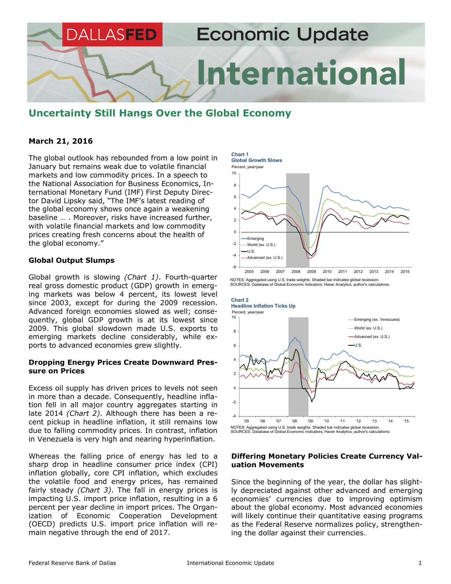

# **Uncertainty Still Hangs Over the Global Economy**

## **March 21, 2016**

The global outlook has rebounded from a low point in January but remains weak due to volatile financial markets and low commodity prices. In a speech to the National Association for Business Economics, International Monetary Fund (IMF) First Deputy Director David Lipsky said, "The IMF's latest reading of the global economy shows once again a weakening baseline … . Moreover, risks have increased further, with volatile financial markets and low commodity prices creating fresh concerns about the health of the global economy."

## **Global Output Slumps**

Global growth is slowing *(Chart 1)*. Fourth-quarter real gross domestic product (GDP) growth in emerging markets was below 4 percent, its lowest level since 2003, except for during the 2009 recession. Advanced foreign economies slowed as well; consequently, global GDP growth is at its lowest since 2009. This global slowdown made U.S. exports to emerging markets decline considerably, while exports to advanced economies grew slightly.

#### **Dropping Energy Prices Create Downward Pressure on Prices**

Excess oil supply has driven prices to levels not seen in more than a decade. Consequently, headline inflation fell in all major country aggregates starting in late 2014 *(Chart 2)*. Although there has been a recent pickup in headline inflation, it still remains low due to falling commodity prices. In contrast, inflation in Venezuela is very high and nearing hyperinflation.

Whereas the falling price of energy has led to a sharp drop in headline consumer price index (CPI) inflation globally, core CPI inflation, which excludes the volatile food and energy prices, has remained fairly steady *(Chart 3)*. The fall in energy prices is impacting U.S. import price inflation, resulting in a 6 percent per year decline in import prices. The Organization of Economic Cooperation Development (OECD) predicts U.S. import price inflation will remain negative through the end of 2017.





#### **Differing Monetary Policies Create Currency Valuation Movements**

Since the beginning of the year, the dollar has slightly depreciated against other advanced and emerging economies' currencies due to improving optimism about the global economy. Most advanced economies will likely continue their quantitative easing programs as the Federal Reserve normalizes policy, strengthening the dollar against their currencies.